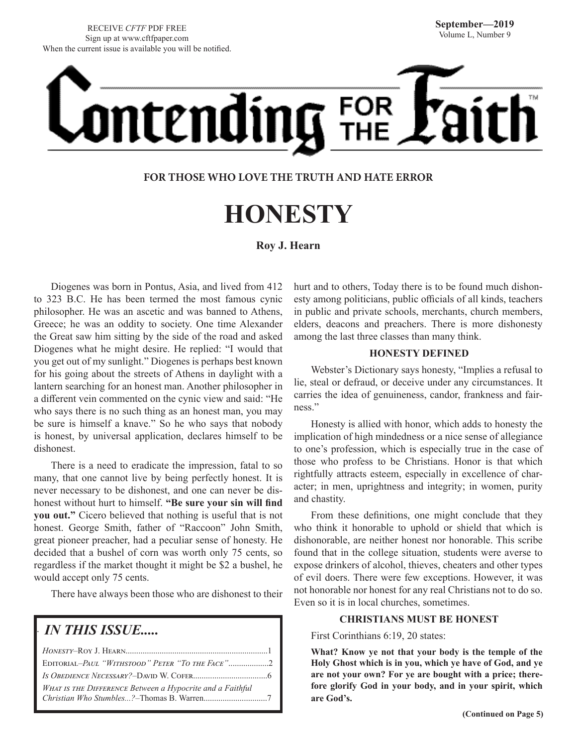RECEIVE *CFTF* PDF FREE Sign up at www.cftfpaper.com When the current issue is available you will be notified.

# Ontending FOR

#### **FOR THOSE WHO LOVE THE TRUTH AND HATE ERROR**

## **HONESTY**

#### **Roy J. Hearn**

Diogenes was born in Pontus, Asia, and lived from 412 to 323 B.C. He has been termed the most famous cynic philosopher. He was an ascetic and was banned to Athens, Greece; he was an oddity to society. One time Alexander the Great saw him sitting by the side of the road and asked Diogenes what he might desire. He replied: "I would that you get out of my sunlight." Diogenes is perhaps best known for his going about the streets of Athens in daylight with a lantern searching for an honest man. Another philosopher in a different vein commented on the cynic view and said: "He who says there is no such thing as an honest man, you may be sure is himself a knave." So he who says that nobody is honest, by universal application, declares himself to be dishonest.

There is a need to eradicate the impression, fatal to so many, that one cannot live by being perfectly honest. It is never necessary to be dishonest, and one can never be dishonest without hurt to himself. **"Be sure your sin will find you out."** Cicero believed that nothing is useful that is not honest. George Smith, father of "Raccoon" John Smith, great pioneer preacher, had a peculiar sense of honesty. He decided that a bushel of corn was worth only 75 cents, so regardless if the market thought it might be \$2 a bushel, he would accept only 75 cents.

There have always been those who are dishonest to their

#### *IN THIS ISSUE.....*

.

| EDITORIAL-PAUL "WITHSTOOD" PETER "TO THE FACE"2           |  |
|-----------------------------------------------------------|--|
|                                                           |  |
| WHAT IS THE DIFFERENCE Between a Hypocrite and a Faithful |  |
|                                                           |  |

hurt and to others, Today there is to be found much dishonesty among politicians, public officials of all kinds, teachers in public and private schools, merchants, church members, elders, deacons and preachers. There is more dishonesty among the last three classes than many think.

#### **HONESTY DEFINED**

Webster's Dictionary says honesty, "Implies a refusal to lie, steal or defraud, or deceive under any circumstances. It carries the idea of genuineness, candor, frankness and fairness."

Honesty is allied with honor, which adds to honesty the implication of high mindedness or a nice sense of allegiance to one's profession, which is especially true in the case of those who profess to be Christians. Honor is that which rightfully attracts esteem, especially in excellence of character; in men, uprightness and integrity; in women, purity and chastity.

From these definitions, one might conclude that they who think it honorable to uphold or shield that which is dishonorable, are neither honest nor honorable. This scribe found that in the college situation, students were averse to expose drinkers of alcohol, thieves, cheaters and other types of evil doers. There were few exceptions. However, it was not honorable nor honest for any real Christians not to do so. Even so it is in local churches, sometimes.

#### **CHRISTIANS MUST BE HONEST**

First Corinthians 6:19, 20 states:

**What? Know ye not that your body is the temple of the Holy Ghost which is in you, which ye have of God, and ye are not your own? For ye are bought with a price; therefore glorify God in your body, and in your spirit, which are God's.**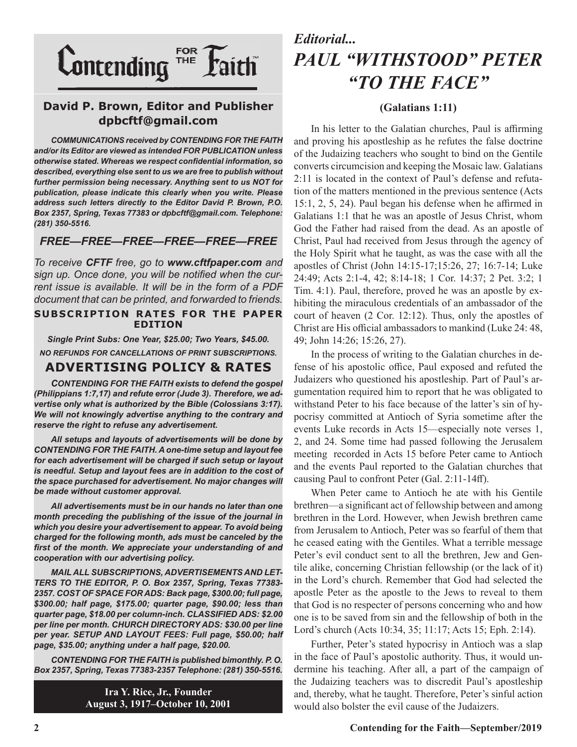

#### **David P. Brown, Editor and Publisher dpbcftf@gmail.com**

*COMMUNICATIONS received by CONTENDING FOR THE FAITH and/or its Editor are viewed as intended FOR PUBLICATION unless otherwise stated. Whereas we respect confidential information, so described, everything else sent to us we are free to publish without further permission being necessary. Anything sent to us NOT for publication, please indicate this clearly when you write. Please address such letters directly to the Editor David P. Brown, P.O. Box 2357, Spring, Texas 77383 or dpbcftf@gmail.com. Telephone: (281) 350-5516.*

#### *FREE—FREE—FREE—FREE—FREE—FREE*

*To receive CFTF free, go to www.cftfpaper.com and sign up. Once done, you will be notified when the current issue is available. It will be in the form of a PDF document that can be printed, and forwarded to friends.*

#### **SUBSCRIPTION RATES FOR THE PAPER EDITION**

*Single Print Subs: One Year, \$25.00; Two Years, \$45.00. NO REFUNDS FOR CANCELLATIONS OF PRINT SUBSCRIPTIONS.*

#### **ADVERTISING POLICY & RATES**

*CONTENDING FOR THE FAITH exists to defend the gospel (Philippians 1:7,17) and refute error (Jude 3). Therefore, we advertise only what is authorized by the Bible (Colossians 3:17). We will not knowingly advertise anything to the contrary and reserve the right to refuse any advertisement.*

*All setups and layouts of advertisements will be done by CONTENDING FOR THE FAITH. A one-time setup and layout fee for each advertisement will be charged if such setup or layout is needful. Setup and layout fees are in addition to the cost of the space purchased for advertisement. No major changes will be made without customer approval.*

*All advertisements must be in our hands no later than one month preceding the publishing of the issue of the journal in which you desire your advertisement to appear. To avoid being charged for the following month, ads must be canceled by the first of the month. We appreciate your understanding of and cooperation with our advertising policy.*

*MAIL ALL SUBSCRIPTIONS, ADVERTISEMENTS AND LET-TERS TO THE EDITOR, P. O. Box 2357, Spring, Texas 77383- 2357. COST OF SPACE FOR ADS: Back page, \$300.00; full page, \$300.00; half page, \$175.00; quarter page, \$90.00; less than quarter page, \$18.00 per column-inch. CLASSIFIED ADS: \$2.00 per line per month. CHURCH DIRECTORY ADS: \$30.00 per line per year. SETUP AND LAYOUT FEES: Full page, \$50.00; half page, \$35.00; anything under a half page, \$20.00.*

*CONTENDING FOR THE FAITH is published bimonthly. P. O. Box 2357, Spring, Texas 77383-2357 Telephone: (281) 350-5516.*

> **Ira Y. Rice, Jr., Founder August 3, 1917–October 10, 2001**

## *Editorial... PAUL "WITHSTOOD" PETER "TO THE FACE"*

#### **(Galatians 1:11)**

In his letter to the Galatian churches, Paul is affirming and proving his apostleship as he refutes the false doctrine of the Judaizing teachers who sought to bind on the Gentile converts circumcision and keeping the Mosaic law. Galatians 2:11 is located in the context of Paul's defense and refutation of the matters mentioned in the previous sentence (Acts 15:1, 2, 5, 24). Paul began his defense when he affirmed in Galatians 1:1 that he was an apostle of Jesus Christ, whom God the Father had raised from the dead. As an apostle of Christ, Paul had received from Jesus through the agency of the Holy Spirit what he taught, as was the case with all the apostles of Christ (John 14:15-17;15:26, 27; 16:7-14; Luke 24:49; Acts 2:1-4, 42; 8:14-18; 1 Cor. 14:37; 2 Pet. 3:2; 1 Tim. 4:1). Paul, therefore, proved he was an apostle by exhibiting the miraculous credentials of an ambassador of the court of heaven (2 Cor. 12:12). Thus, only the apostles of Christ are His official ambassadors to mankind (Luke 24: 48, 49; John 14:26; 15:26, 27).

In the process of writing to the Galatian churches in defense of his apostolic office, Paul exposed and refuted the Judaizers who questioned his apostleship. Part of Paul's argumentation required him to report that he was obligated to withstand Peter to his face because of the latter's sin of hypocrisy committed at Antioch of Syria sometime after the events Luke records in Acts 15—especially note verses 1, 2, and 24. Some time had passed following the Jerusalem meeting recorded in Acts 15 before Peter came to Antioch and the events Paul reported to the Galatian churches that causing Paul to confront Peter (Gal. 2:11-14ff).

When Peter came to Antioch he ate with his Gentile brethren—a significant act of fellowship between and among brethren in the Lord. However, when Jewish brethren came from Jerusalem to Antioch, Peter was so fearful of them that he ceased eating with the Gentiles. What a terrible message Peter's evil conduct sent to all the brethren, Jew and Gentile alike, concerning Christian fellowship (or the lack of it) in the Lord's church. Remember that God had selected the apostle Peter as the apostle to the Jews to reveal to them that God is no respecter of persons concerning who and how one is to be saved from sin and the fellowship of both in the Lord's church (Acts 10:34, 35; 11:17; Acts 15; Eph. 2:14).

Further, Peter's stated hypocrisy in Antioch was a slap in the face of Paul's apostolic authority. Thus, it would undermine his teaching. After all, a part of the campaign of the Judaizing teachers was to discredit Paul's apostleship and, thereby, what he taught. Therefore, Peter's sinful action would also bolster the evil cause of the Judaizers.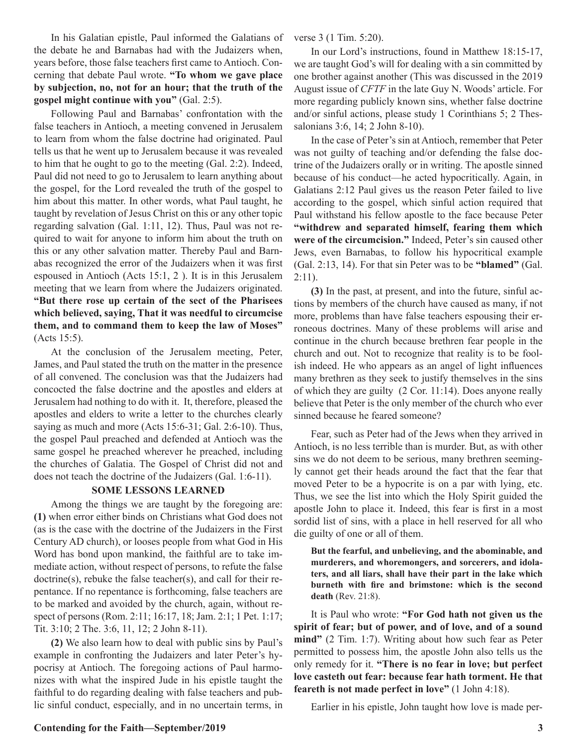In his Galatian epistle, Paul informed the Galatians of the debate he and Barnabas had with the Judaizers when, years before, those false teachers first came to Antioch. Concerning that debate Paul wrote. **"To whom we gave place by subjection, no, not for an hour; that the truth of the gospel might continue with you"** (Gal. 2:5).

Following Paul and Barnabas' confrontation with the false teachers in Antioch, a meeting convened in Jerusalem to learn from whom the false doctrine had originated. Paul tells us that he went up to Jerusalem because it was revealed to him that he ought to go to the meeting (Gal. 2:2). Indeed, Paul did not need to go to Jerusalem to learn anything about the gospel, for the Lord revealed the truth of the gospel to him about this matter. In other words, what Paul taught, he taught by revelation of Jesus Christ on this or any other topic regarding salvation (Gal. 1:11, 12). Thus, Paul was not required to wait for anyone to inform him about the truth on this or any other salvation matter. Thereby Paul and Barnabas recognized the error of the Judaizers when it was first espoused in Antioch (Acts 15:1, 2 ). It is in this Jerusalem meeting that we learn from where the Judaizers originated. **"But there rose up certain of the sect of the Pharisees which believed, saying, That it was needful to circumcise them, and to command them to keep the law of Moses"**  (Acts 15:5).

At the conclusion of the Jerusalem meeting, Peter, James, and Paul stated the truth on the matter in the presence of all convened. The conclusion was that the Judaizers had concocted the false doctrine and the apostles and elders at Jerusalem had nothing to do with it. It, therefore, pleased the apostles and elders to write a letter to the churches clearly saying as much and more (Acts 15:6-31; Gal. 2:6-10). Thus, the gospel Paul preached and defended at Antioch was the same gospel he preached wherever he preached, including the churches of Galatia. The Gospel of Christ did not and does not teach the doctrine of the Judaizers (Gal. 1:6-11).

#### **SOME LESSONS LEARNED**

Among the things we are taught by the foregoing are: **(1)** when error either binds on Christians what God does not (as is the case with the doctrine of the Judaizers in the First Century AD church), or looses people from what God in His Word has bond upon mankind, the faithful are to take immediate action, without respect of persons, to refute the false doctrine(s), rebuke the false teacher(s), and call for their repentance. If no repentance is forthcoming, false teachers are to be marked and avoided by the church, again, without respect of persons (Rom. 2:11; 16:17, 18; Jam. 2:1; 1 Pet. 1:17; Tit. 3:10; 2 The. 3:6, 11, 12; 2 John 8-11).

**(2)** We also learn how to deal with public sins by Paul's example in confronting the Judaizers and later Peter's hypocrisy at Antioch. The foregoing actions of Paul harmonizes with what the inspired Jude in his epistle taught the faithful to do regarding dealing with false teachers and public sinful conduct, especially, and in no uncertain terms, in verse 3 (1 Tim. 5:20).

In our Lord's instructions, found in Matthew 18:15-17, we are taught God's will for dealing with a sin committed by one brother against another (This was discussed in the 2019 August issue of *CFTF* in the late Guy N. Woods' article. For more regarding publicly known sins, whether false doctrine and/or sinful actions, please study 1 Corinthians 5; 2 Thessalonians 3:6, 14; 2 John 8-10).

In the case of Peter's sin at Antioch, remember that Peter was not guilty of teaching and/or defending the false doctrine of the Judaizers orally or in writing. The apostle sinned because of his conduct—he acted hypocritically. Again, in Galatians 2:12 Paul gives us the reason Peter failed to live according to the gospel, which sinful action required that Paul withstand his fellow apostle to the face because Peter **"withdrew and separated himself, fearing them which were of the circumcision."** Indeed, Peter's sin caused other Jews, even Barnabas, to follow his hypocritical example (Gal. 2:13, 14). For that sin Peter was to be **"blamed"** (Gal.  $2:11$ ).

**(3)** In the past, at present, and into the future, sinful actions by members of the church have caused as many, if not more, problems than have false teachers espousing their erroneous doctrines. Many of these problems will arise and continue in the church because brethren fear people in the church and out. Not to recognize that reality is to be foolish indeed. He who appears as an angel of light influences many brethren as they seek to justify themselves in the sins of which they are guilty (2 Cor. 11:14). Does anyone really believe that Peter is the only member of the church who ever sinned because he feared someone?

Fear, such as Peter had of the Jews when they arrived in Antioch, is no less terrible than is murder. But, as with other sins we do not deem to be serious, many brethren seemingly cannot get their heads around the fact that the fear that moved Peter to be a hypocrite is on a par with lying, etc. Thus, we see the list into which the Holy Spirit guided the apostle John to place it. Indeed, this fear is first in a most sordid list of sins, with a place in hell reserved for all who die guilty of one or all of them.

**But the fearful, and unbelieving, and the abominable, and murderers, and whoremongers, and sorcerers, and idolaters, and all liars, shall have their part in the lake which burneth with fire and brimstone: which is the second death** (Rev. 21:8).

It is Paul who wrote: **"For God hath not given us the spirit of fear; but of power, and of love, and of a sound mind"** (2 Tim. 1:7). Writing about how such fear as Peter permitted to possess him, the apostle John also tells us the only remedy for it. **"There is no fear in love; but perfect love casteth out fear: because fear hath torment. He that feareth is not made perfect in love"** (1 John 4:18).

Earlier in his epistle, John taught how love is made per-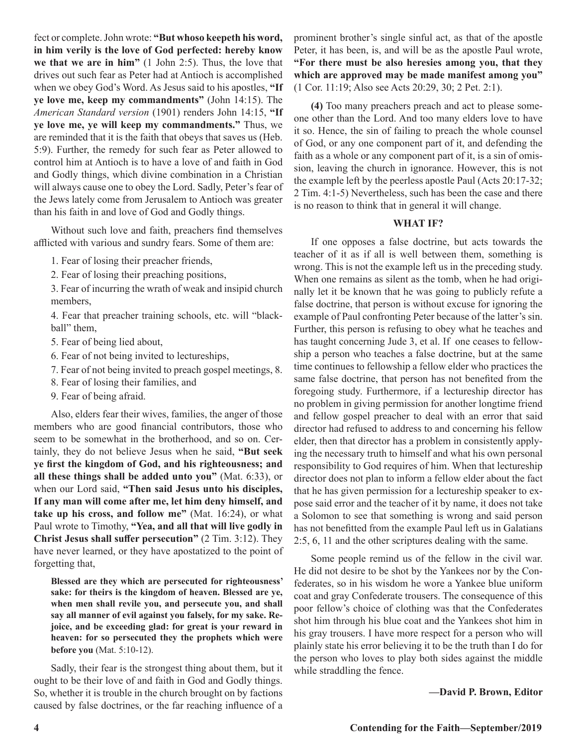fect or complete. John wrote: **"But whoso keepeth his word, in him verily is the love of God perfected: hereby know we that we are in him"** (1 John 2:5). Thus, the love that drives out such fear as Peter had at Antioch is accomplished when we obey God's Word. As Jesus said to his apostles, **"If ye love me, keep my commandments"** (John 14:15). The *American Standard version* (1901) renders John 14:15, **"If ye love me, ye will keep my commandments."** Thus, we are reminded that it is the faith that obeys that saves us (Heb. 5:9). Further, the remedy for such fear as Peter allowed to control him at Antioch is to have a love of and faith in God and Godly things, which divine combination in a Christian will always cause one to obey the Lord. Sadly, Peter's fear of the Jews lately come from Jerusalem to Antioch was greater than his faith in and love of God and Godly things.

Without such love and faith, preachers find themselves afflicted with various and sundry fears. Some of them are:

- 1. Fear of losing their preacher friends,
- 2. Fear of losing their preaching positions,
- 3. Fear of incurring the wrath of weak and insipid church members,

4. Fear that preacher training schools, etc. will "blackball" them,

- 5. Fear of being lied about,
- 6. Fear of not being invited to lectureships,
- 7. Fear of not being invited to preach gospel meetings, 8.
- 8. Fear of losing their families, and
- 9. Fear of being afraid.

Also, elders fear their wives, families, the anger of those members who are good financial contributors, those who seem to be somewhat in the brotherhood, and so on. Certainly, they do not believe Jesus when he said, **"But seek ye first the kingdom of God, and his righteousness; and all these things shall be added unto you"** (Mat. 6:33), or when our Lord said, **"Then said Jesus unto his disciples, If any man will come after me, let him deny himself, and take up his cross, and follow me"** (Mat. 16:24), or what Paul wrote to Timothy, **"Yea, and all that will live godly in Christ Jesus shall suffer persecution"** (2 Tim. 3:12). They have never learned, or they have apostatized to the point of forgetting that,

**Blessed are they which are persecuted for righteousness' sake: for theirs is the kingdom of heaven. Blessed are ye, when men shall revile you, and persecute you, and shall say all manner of evil against you falsely, for my sake. Rejoice, and be exceeding glad: for great is your reward in heaven: for so persecuted they the prophets which were before you** (Mat. 5:10-12).

Sadly, their fear is the strongest thing about them, but it ought to be their love of and faith in God and Godly things. So, whether it is trouble in the church brought on by factions caused by false doctrines, or the far reaching influence of a prominent brother's single sinful act, as that of the apostle Peter, it has been, is, and will be as the apostle Paul wrote, **"For there must be also heresies among you, that they which are approved may be made manifest among you"** (1 Cor. 11:19; Also see Acts 20:29, 30; 2 Pet. 2:1).

**(4)** Too many preachers preach and act to please someone other than the Lord. And too many elders love to have it so. Hence, the sin of failing to preach the whole counsel of God, or any one component part of it, and defending the faith as a whole or any component part of it, is a sin of omission, leaving the church in ignorance. However, this is not the example left by the peerless apostle Paul (Acts 20:17-32; 2 Tim. 4:1-5) Nevertheless, such has been the case and there is no reason to think that in general it will change.

#### **WHAT IF?**

If one opposes a false doctrine, but acts towards the teacher of it as if all is well between them, something is wrong. This is not the example left us in the preceding study. When one remains as silent as the tomb, when he had originally let it be known that he was going to publicly refute a false doctrine, that person is without excuse for ignoring the example of Paul confronting Peter because of the latter's sin. Further, this person is refusing to obey what he teaches and has taught concerning Jude 3, et al. If one ceases to fellowship a person who teaches a false doctrine, but at the same time continues to fellowship a fellow elder who practices the same false doctrine, that person has not benefited from the foregoing study. Furthermore, if a lectureship director has no problem in giving permission for another longtime friend and fellow gospel preacher to deal with an error that said director had refused to address to and concerning his fellow elder, then that director has a problem in consistently applying the necessary truth to himself and what his own personal responsibility to God requires of him. When that lectureship director does not plan to inform a fellow elder about the fact that he has given permission for a lectureship speaker to expose said error and the teacher of it by name, it does not take a Solomon to see that something is wrong and said person has not benefitted from the example Paul left us in Galatians 2:5, 6, 11 and the other scriptures dealing with the same.

Some people remind us of the fellow in the civil war. He did not desire to be shot by the Yankees nor by the Confederates, so in his wisdom he wore a Yankee blue uniform coat and gray Confederate trousers. The consequence of this poor fellow's choice of clothing was that the Confederates shot him through his blue coat and the Yankees shot him in his gray trousers. I have more respect for a person who will plainly state his error believing it to be the truth than I do for the person who loves to play both sides against the middle while straddling the fence.

**—David P. Brown, Editor**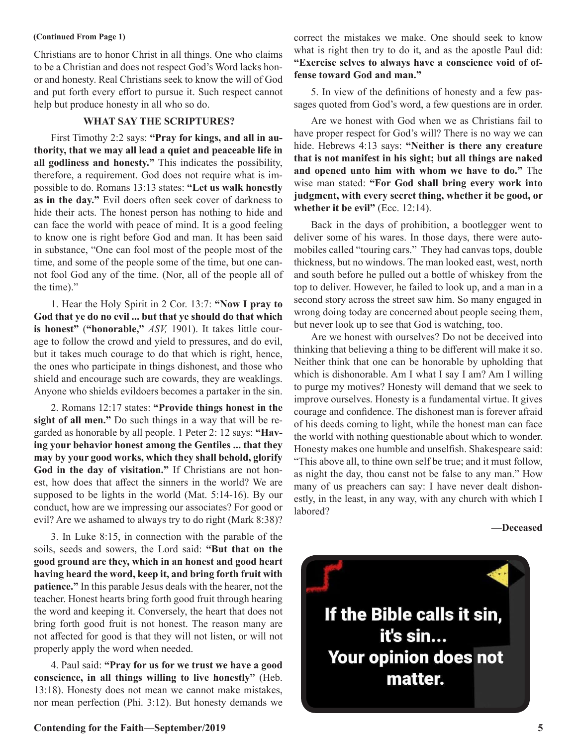Christians are to honor Christ in all things. One who claims to be a Christian and does not respect God's Word lacks honor and honesty. Real Christians seek to know the will of God and put forth every effort to pursue it. Such respect cannot help but produce honesty in all who so do.

#### **WHAT SAY THE SCRIPTURES?**

First Timothy 2:2 says: **"Pray for kings, and all in authority, that we may all lead a quiet and peaceable life in all godliness and honesty."** This indicates the possibility, therefore, a requirement. God does not require what is impossible to do. Romans 13:13 states: **"Let us walk honestly as in the day."** Evil doers often seek cover of darkness to hide their acts. The honest person has nothing to hide and can face the world with peace of mind. It is a good feeling to know one is right before God and man. It has been said in substance, "One can fool most of the people most of the time, and some of the people some of the time, but one cannot fool God any of the time. (Nor, all of the people all of the time)."

1. Hear the Holy Spirit in 2 Cor. 13:7: **"Now I pray to God that ye do no evil ... but that ye should do that which is honest"** (**"honorable,"** *ASV,* 1901). It takes little courage to follow the crowd and yield to pressures, and do evil, but it takes much courage to do that which is right, hence, the ones who participate in things dishonest, and those who shield and encourage such are cowards, they are weaklings. Anyone who shields evildoers becomes a partaker in the sin.

2. Romans 12:17 states: **"Provide things honest in the sight of all men."** Do such things in a way that will be regarded as honorable by all people. 1 Peter 2: 12 says: **"Having your behavior honest among the Gentiles ... that they may by your good works, which they shall behold, glorify God in the day of visitation."** If Christians are not honest, how does that affect the sinners in the world? We are supposed to be lights in the world (Mat. 5:14-16). By our conduct, how are we impressing our associates? For good or evil? Are we ashamed to always try to do right (Mark 8:38)?

3. In Luke 8:15, in connection with the parable of the soils, seeds and sowers, the Lord said: **"But that on the good ground are they, which in an honest and good heart having heard the word, keep it, and bring forth fruit with patience."** In this parable Jesus deals with the hearer, not the teacher. Honest hearts bring forth good fruit through hearing the word and keeping it. Conversely, the heart that does not bring forth good fruit is not honest. The reason many are not affected for good is that they will not listen, or will not properly apply the word when needed.

4. Paul said: **"Pray for us for we trust we have a good conscience, in all things willing to live honestly"** (Heb. 13:18). Honesty does not mean we cannot make mistakes, nor mean perfection (Phi. 3:12). But honesty demands we

**(Continued From Page 1)** correct the mistakes we make. One should seek to know what is right then try to do it, and as the apostle Paul did: **"Exercise selves to always have a conscience void of offense toward God and man."**

> 5. In view of the definitions of honesty and a few passages quoted from God's word, a few questions are in order.

> Are we honest with God when we as Christians fail to have proper respect for God's will? There is no way we can hide. Hebrews 4:13 says: **"Neither is there any creature that is not manifest in his sight; but all things are naked and opened unto him with whom we have to do."** The wise man stated: **"For God shall bring every work into judgment, with every secret thing, whether it be good, or**  whether it be evil" (Ecc. 12:14).

> Back in the days of prohibition, a bootlegger went to deliver some of his wares. In those days, there were automobiles called "touring cars." They had canvas tops, double thickness, but no windows. The man looked east, west, north and south before he pulled out a bottle of whiskey from the top to deliver. However, he failed to look up, and a man in a second story across the street saw him. So many engaged in wrong doing today are concerned about people seeing them, but never look up to see that God is watching, too.

> Are we honest with ourselves? Do not be deceived into thinking that believing a thing to be different will make it so. Neither think that one can be honorable by upholding that which is dishonorable. Am I what I say I am? Am I willing to purge my motives? Honesty will demand that we seek to improve ourselves. Honesty is a fundamental virtue. It gives courage and confidence. The dishonest man is forever afraid of his deeds coming to light, while the honest man can face the world with nothing questionable about which to wonder. Honesty makes one humble and unselfish. Shakespeare said: "This above all, to thine own self be true; and it must follow, as night the day, thou canst not be false to any man." How many of us preachers can say: I have never dealt dishonestly, in the least, in any way, with any church with which I labored?

#### **—Deceased**

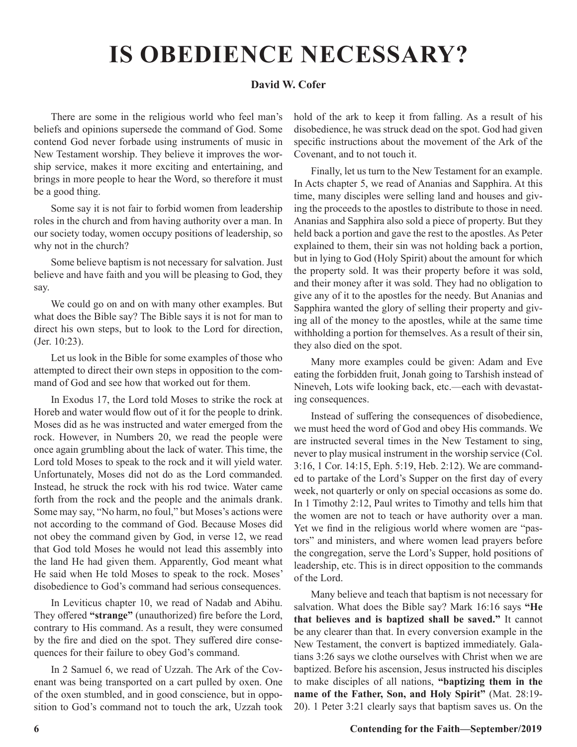# **IS OBEDIENCE NECESSARY?**

#### **David W. Cofer**

There are some in the religious world who feel man's beliefs and opinions supersede the command of God. Some contend God never forbade using instruments of music in New Testament worship. They believe it improves the worship service, makes it more exciting and entertaining, and brings in more people to hear the Word, so therefore it must be a good thing.

Some say it is not fair to forbid women from leadership roles in the church and from having authority over a man. In our society today, women occupy positions of leadership, so why not in the church?

Some believe baptism is not necessary for salvation. Just believe and have faith and you will be pleasing to God, they say.

We could go on and on with many other examples. But what does the Bible say? The Bible says it is not for man to direct his own steps, but to look to the Lord for direction, (Jer. 10:23).

Let us look in the Bible for some examples of those who attempted to direct their own steps in opposition to the command of God and see how that worked out for them.

In Exodus 17, the Lord told Moses to strike the rock at Horeb and water would flow out of it for the people to drink. Moses did as he was instructed and water emerged from the rock. However, in Numbers 20, we read the people were once again grumbling about the lack of water. This time, the Lord told Moses to speak to the rock and it will yield water. Unfortunately, Moses did not do as the Lord commanded. Instead, he struck the rock with his rod twice. Water came forth from the rock and the people and the animals drank. Some may say, "No harm, no foul," but Moses's actions were not according to the command of God. Because Moses did not obey the command given by God, in verse 12, we read that God told Moses he would not lead this assembly into the land He had given them. Apparently, God meant what He said when He told Moses to speak to the rock. Moses' disobedience to God's command had serious consequences.

In Leviticus chapter 10, we read of Nadab and Abihu. They offered **"strange"** (unauthorized) fire before the Lord, contrary to His command. As a result, they were consumed by the fire and died on the spot. They suffered dire consequences for their failure to obey God's command.

In 2 Samuel 6, we read of Uzzah. The Ark of the Covenant was being transported on a cart pulled by oxen. One of the oxen stumbled, and in good conscience, but in opposition to God's command not to touch the ark, Uzzah took hold of the ark to keep it from falling. As a result of his disobedience, he was struck dead on the spot. God had given specific instructions about the movement of the Ark of the Covenant, and to not touch it.

Finally, let us turn to the New Testament for an example. In Acts chapter 5, we read of Ananias and Sapphira. At this time, many disciples were selling land and houses and giving the proceeds to the apostles to distribute to those in need. Ananias and Sapphira also sold a piece of property. But they held back a portion and gave the rest to the apostles. As Peter explained to them, their sin was not holding back a portion, but in lying to God (Holy Spirit) about the amount for which the property sold. It was their property before it was sold, and their money after it was sold. They had no obligation to give any of it to the apostles for the needy. But Ananias and Sapphira wanted the glory of selling their property and giving all of the money to the apostles, while at the same time withholding a portion for themselves. As a result of their sin, they also died on the spot.

Many more examples could be given: Adam and Eve eating the forbidden fruit, Jonah going to Tarshish instead of Nineveh, Lots wife looking back, etc.—each with devastating consequences.

Instead of suffering the consequences of disobedience, we must heed the word of God and obey His commands. We are instructed several times in the New Testament to sing, never to play musical instrument in the worship service (Col. 3:16, 1 Cor. 14:15, Eph. 5:19, Heb. 2:12). We are commanded to partake of the Lord's Supper on the first day of every week, not quarterly or only on special occasions as some do. In 1 Timothy 2:12, Paul writes to Timothy and tells him that the women are not to teach or have authority over a man. Yet we find in the religious world where women are "pastors" and ministers, and where women lead prayers before the congregation, serve the Lord's Supper, hold positions of leadership, etc. This is in direct opposition to the commands of the Lord.

Many believe and teach that baptism is not necessary for salvation. What does the Bible say? Mark 16:16 says **"He that believes and is baptized shall be saved."** It cannot be any clearer than that. In every conversion example in the New Testament, the convert is baptized immediately. Galatians 3:26 says we clothe ourselves with Christ when we are baptized. Before his ascension, Jesus instructed his disciples to make disciples of all nations, **"baptizing them in the name of the Father, Son, and Holy Spirit"** (Mat. 28:19- 20). 1 Peter 3:21 clearly says that baptism saves us. On the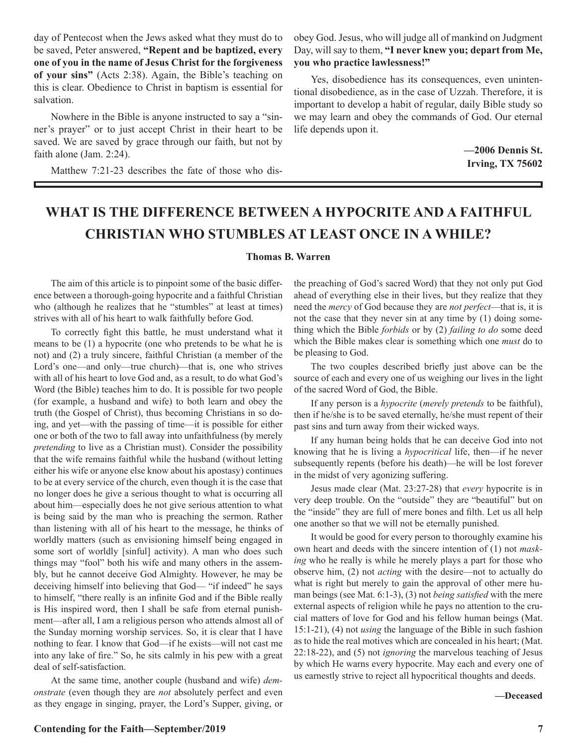day of Pentecost when the Jews asked what they must do to be saved, Peter answered, **"Repent and be baptized, every one of you in the name of Jesus Christ for the forgiveness of your sins"** (Acts 2:38). Again, the Bible's teaching on this is clear. Obedience to Christ in baptism is essential for salvation.

Nowhere in the Bible is anyone instructed to say a "sinner's prayer" or to just accept Christ in their heart to be saved. We are saved by grace through our faith, but not by faith alone (Jam. 2:24).

Matthew 7:21-23 describes the fate of those who dis-

obey God. Jesus, who will judge all of mankind on Judgment Day, will say to them, **"I never knew you; depart from Me, you who practice lawlessness!"**

Yes, disobedience has its consequences, even unintentional disobedience, as in the case of Uzzah. Therefore, it is important to develop a habit of regular, daily Bible study so we may learn and obey the commands of God. Our eternal life depends upon it.

> **—2006 Dennis St. Irving, TX 75602**

### **WHAT IS THE DIFFERENCE BETWEEN A HYPOCRITE AND A FAITHFUL CHRISTIAN WHO STUMBLES AT LEAST ONCE IN A WHILE?**

#### **Thomas B. Warren**

The aim of this article is to pinpoint some of the basic difference between a thorough-going hypocrite and a faithful Christian who (although he realizes that he "stumbles" at least at times) strives with all of his heart to walk faithfully before God.

To correctly fight this battle, he must understand what it means to be (1) a hypocrite (one who pretends to be what he is not) and (2) a truly sincere, faithful Christian (a member of the Lord's one—and only—true church)—that is, one who strives with all of his heart to love God and, as a result, to do what God's Word (the Bible) teaches him to do. It is possible for two people (for example, a husband and wife) to both learn and obey the truth (the Gospel of Christ), thus becoming Christians in so doing, and yet—with the passing of time—it is possible for either one or both of the two to fall away into unfaithfulness (by merely *pretending* to live as a Christian must). Consider the possibility that the wife remains faithful while the husband (without letting either his wife or anyone else know about his apostasy) continues to be at every service of the church, even though it is the case that no longer does he give a serious thought to what is occurring all about him—especially does he not give serious attention to what is being said by the man who is preaching the sermon. Rather than listening with all of his heart to the message, he thinks of worldly matters (such as envisioning himself being engaged in some sort of worldly [sinful] activity). A man who does such things may "fool" both his wife and many others in the assembly, but he cannot deceive God Almighty. However, he may be deceiving himself into believing that God— "if indeed" he says to himself, "there really is an infinite God and if the Bible really is His inspired word, then I shall be safe from eternal punishment—after all, I am a religious person who attends almost all of the Sunday morning worship services. So, it is clear that I have nothing to fear. I know that God—if he exists—will not cast me into any lake of fire." So, he sits calmly in his pew with a great deal of self-satisfaction.

At the same time, another couple (husband and wife) *demonstrate* (even though they are *not* absolutely perfect and even as they engage in singing, prayer, the Lord's Supper, giving, or

the preaching of God's sacred Word) that they not only put God ahead of everything else in their lives, but they realize that they need the *mercy* of God because they are *not perfect*—that is, it is not the case that they never sin at any time by (1) doing something which the Bible *forbids* or by (2) *failing to do* some deed which the Bible makes clear is something which one *must* do to be pleasing to God.

The two couples described briefly just above can be the source of each and every one of us weighing our lives in the light of the sacred Word of God, the Bible.

If any person is a *hypocrite* (*merely pretends* to be faithful), then if he/she is to be saved eternally, he/she must repent of their past sins and turn away from their wicked ways.

If any human being holds that he can deceive God into not knowing that he is living a *hypocritical* life, then—if he never subsequently repents (before his death)—he will be lost forever in the midst of very agonizing suffering.

Jesus made clear (Mat. 23:27-28) that *every* hypocrite is in very deep trouble. On the "outside" they are "beautiful" but on the "inside" they are full of mere bones and filth. Let us all help one another so that we will not be eternally punished.

It would be good for every person to thoroughly examine his own heart and deeds with the sincere intention of (1) not *masking* who he really is while he merely plays a part for those who observe him, (2) not *acting* with the desire—not to actually do what is right but merely to gain the approval of other mere human beings (see Mat. 6:1-3), (3) not *being satisfied* with the mere external aspects of religion while he pays no attention to the crucial matters of love for God and his fellow human beings (Mat. 15:1-21), (4) not *using* the language of the Bible in such fashion as to hide the real motives which are concealed in his heart; (Mat. 22:18-22), and (5) not *ignoring* the marvelous teaching of Jesus by which He warns every hypocrite. May each and every one of us earnestly strive to reject all hypocritical thoughts and deeds.

#### **—Deceased**